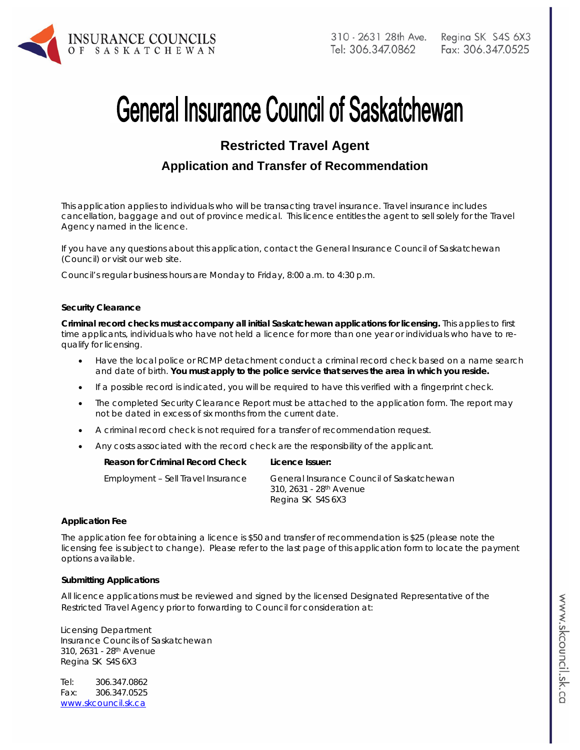

# **General Insurance Council of Saskatchewan**

# **Restricted Travel Agent**

# **Application and Transfer of Recommendation**

*This application applies to individuals who will be transacting travel insurance. Travel insurance includes*  cancellation, baggage and out of province medical. This licence entitles the agent to sell solely for the Travel *Agency named in the licence.* 

If you have any questions about this application, contact the General Insurance Council of Saskatchewan (Council) or visit our web site.

Council's regular business hours are Monday to Friday, 8:00 a.m. to 4:30 p.m.

#### **Security Clearance**

**Criminal record checks must accompany all initial Saskatchewan applications for licensing.** This applies to first time applicants, individuals who have not held a licence for more than one year or individuals who have to requalify for licensing.

- Have the local police or RCMP detachment conduct a criminal record check based on a name search and date of birth. **You must apply to the police service that serves the area in which you reside.**
- If a possible record is indicated, you will be required to have this verified with a fingerprint check.
- The completed Security Clearance Report must be attached to the application form. The report may not be dated in excess of six months from the current date.
- A criminal record check is not required for a transfer of recommendation request.
- Any costs associated with the record check are the responsibility of the applicant.

| Reason for Criminal Record Check   | Licence Issuer:                           |
|------------------------------------|-------------------------------------------|
| Employment - Sell Travel Insurance | General Insurance Council of Saskatchewan |

310, 2631 - 28th Avenue Regina SK S4S 6X3

#### **Application Fee**

The application fee for obtaining a licence is \$50 and transfer of recommendation is \$25 (please note the licensing fee is subject to change). Please refer to the last page of this application form to locate the payment options available.

#### **Submitting Applications**

All licence applications must be reviewed and signed by the licensed Designated Representative of the Restricted Travel Agency prior to forwarding to Council for consideration at:

Licensing Department Insurance Councils of Saskatchewan 310, 2631 - 28th Avenue Regina SK S4S 6X3

Tel: 306.347.0862 Fax: 306.347.0525 www.skcouncil.sk.ca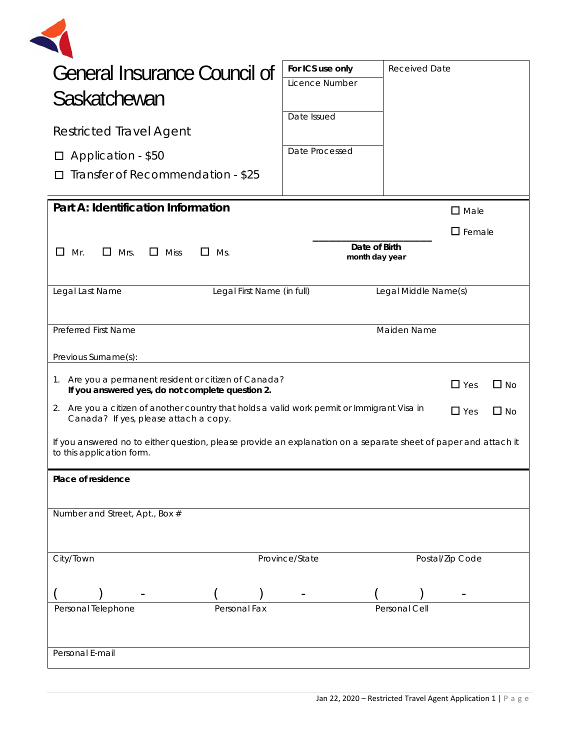| <b>General Insurance Council of</b>                                                                                                                                | For ICS use only | <b>Received Date</b>            |                  |
|--------------------------------------------------------------------------------------------------------------------------------------------------------------------|------------------|---------------------------------|------------------|
|                                                                                                                                                                    | Licence Number   |                                 |                  |
| Saskatchewan                                                                                                                                                       |                  |                                 |                  |
| <b>Restricted Travel Agent</b>                                                                                                                                     | Date Issued      |                                 |                  |
| $\Box$ Application - \$50                                                                                                                                          | Date Processed   |                                 |                  |
| Transfer of Recommendation - \$25                                                                                                                                  |                  |                                 |                  |
| Part A: Identification Information                                                                                                                                 |                  |                                 | $\Box$ Male      |
|                                                                                                                                                                    |                  |                                 | $\square$ Female |
| $\Box$<br>$\Box$ Mrs.<br>$\Box$ Miss<br>Mr.<br>$\Box$ Ms.                                                                                                          |                  | Date of Birth<br>month day year |                  |
| Legal Last Name<br>Legal First Name (in full)                                                                                                                      |                  | Legal Middle Name(s)            |                  |
| <b>Preferred First Name</b>                                                                                                                                        |                  | Maiden Name                     |                  |
| Previous Surname(s):                                                                                                                                               |                  |                                 |                  |
| 1. Are you a permanent resident or citizen of Canada?<br>$\Box$ Yes<br>$\Box$ No<br>If you answered yes, do not complete question 2.                               |                  |                                 |                  |
| 2. Are you a citizen of another country that holds a valid work permit or Immigrant Visa in<br>$\Box$ Yes<br>$\square$ No<br>Canada? If yes, please attach a copy. |                  |                                 |                  |
|                                                                                                                                                                    |                  |                                 |                  |
|                                                                                                                                                                    |                  |                                 |                  |
| If you answered no to either question, please provide an explanation on a separate sheet of paper and attach it<br>to this application form.<br>Place of residence |                  |                                 |                  |
|                                                                                                                                                                    |                  |                                 |                  |
| Number and Street, Apt., Box #                                                                                                                                     |                  |                                 |                  |
|                                                                                                                                                                    |                  |                                 |                  |
| City/Town                                                                                                                                                          | Province/State   |                                 | Postal/Zip Code  |
|                                                                                                                                                                    |                  |                                 |                  |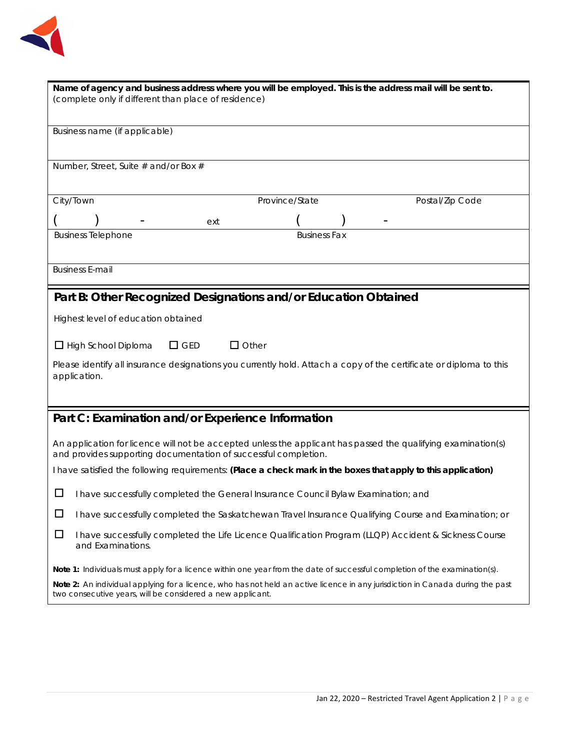

| Name of agency and business address where you will be employed. This is the address mail will be sent to.<br>(complete only if different than place of residence)                            |  |  |  |  |
|----------------------------------------------------------------------------------------------------------------------------------------------------------------------------------------------|--|--|--|--|
| Business name (if applicable)                                                                                                                                                                |  |  |  |  |
| Number, Street, Suite # and/or Box #                                                                                                                                                         |  |  |  |  |
| City/Town<br>Province/State<br>Postal/Zip Code                                                                                                                                               |  |  |  |  |
| ext                                                                                                                                                                                          |  |  |  |  |
| <b>Business Telephone</b><br><b>Business Fax</b>                                                                                                                                             |  |  |  |  |
| <b>Business E-mail</b>                                                                                                                                                                       |  |  |  |  |
| Part B: Other Recognized Designations and/or Education Obtained                                                                                                                              |  |  |  |  |
| Highest level of education obtained                                                                                                                                                          |  |  |  |  |
| $\Box$ Other<br>$\Box$ GED<br>$\Box$ High School Diploma                                                                                                                                     |  |  |  |  |
| Please identify all insurance designations you currently hold. Attach a copy of the certificate or diploma to this<br>application.                                                           |  |  |  |  |
| Part C: Examination and/or Experience Information                                                                                                                                            |  |  |  |  |
| An application for licence will not be accepted unless the applicant has passed the qualifying examination(s)<br>and provides supporting documentation of successful completion.             |  |  |  |  |
| I have satisfied the following requirements: (Place a check mark in the boxes that apply to this application)                                                                                |  |  |  |  |
| ப<br>I have successfully completed the General Insurance Council Bylaw Examination; and                                                                                                      |  |  |  |  |
| □<br>I have successfully completed the Saskatchewan Travel Insurance Qualifying Course and Examination; or                                                                                   |  |  |  |  |
| □<br>I have successfully completed the Life Licence Qualification Program (LLQP) Accident & Sickness Course<br>and Examinations.                                                             |  |  |  |  |
| Note 1: Individuals must apply for a licence within one year from the date of successful completion of the examination(s).                                                                   |  |  |  |  |
| Note 2: An individual applying for a licence, who has not held an active licence in any jurisdiction in Canada during the past<br>two consecutive years, will be considered a new applicant. |  |  |  |  |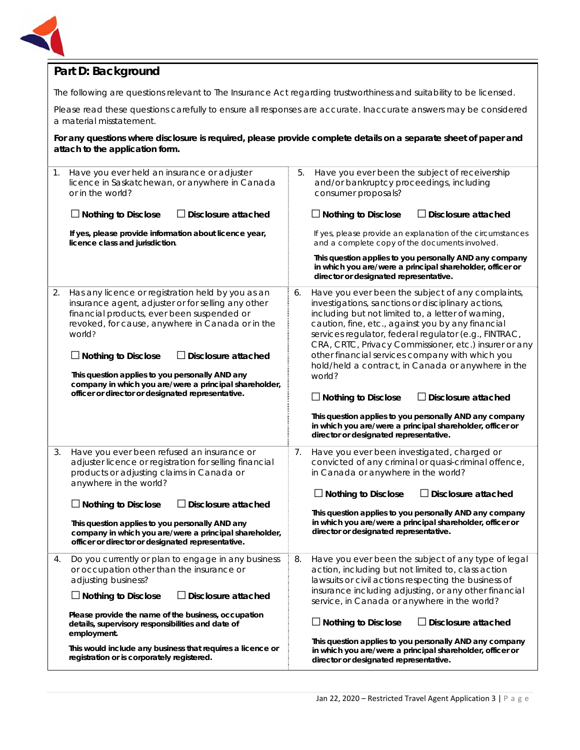

## **Part D: Background**

The following are questions relevant to *The Insurance Act* regarding trustworthiness and suitability to be licensed.

Please read these questions carefully to ensure all responses are accurate. Inaccurate answers may be considered a material misstatement.

**For any questions where disclosure is required, please provide complete details on a separate sheet of paper and attach to the application form.**

| 1. | Have you ever held an insurance or adjuster<br>licence in Saskatchewan, or anywhere in Canada<br>or in the world?<br>$\Box$ Nothing to Disclose<br>$\Box$ Disclosure attached                                                                                                                                                                                                                                                                     | 5. | Have you ever been the subject of receivership<br>and/or bankruptcy proceedings, including<br>consumer proposals?<br>$\Box$ Nothing to Disclose<br>$\Box$ Disclosure attached                                                                                                                                                                                                                                                                                                                                                                                                  |
|----|---------------------------------------------------------------------------------------------------------------------------------------------------------------------------------------------------------------------------------------------------------------------------------------------------------------------------------------------------------------------------------------------------------------------------------------------------|----|--------------------------------------------------------------------------------------------------------------------------------------------------------------------------------------------------------------------------------------------------------------------------------------------------------------------------------------------------------------------------------------------------------------------------------------------------------------------------------------------------------------------------------------------------------------------------------|
|    | If yes, please provide information about licence year,<br>licence class and jurisdiction.                                                                                                                                                                                                                                                                                                                                                         |    | If yes, please provide an explanation of the circumstances<br>and a complete copy of the documents involved.                                                                                                                                                                                                                                                                                                                                                                                                                                                                   |
|    |                                                                                                                                                                                                                                                                                                                                                                                                                                                   |    | This question applies to you personally AND any company<br>in which you are/were a principal shareholder, officer or<br>director or designated representative.                                                                                                                                                                                                                                                                                                                                                                                                                 |
| 2. | Has any licence or registration held by you as an<br>insurance agent, adjuster or for selling any other<br>financial products, ever been suspended or<br>revoked, for cause, anywhere in Canada or in the<br>world?<br>$\Box$ Nothing to Disclose<br><b>Disclosure attached</b><br>This question applies to you personally AND any<br>company in which you are/were a principal shareholder,<br>officer or director or designated representative. | 6. | Have you ever been the subject of any complaints,<br>investigations, sanctions or disciplinary actions,<br>including but not limited to, a letter of warning,<br>caution, fine, etc., against you by any financial<br>services regulator, federal regulator (e.g., FINTRAC,<br>CRA, CRTC, Privacy Commissioner, etc.) insurer or any<br>other financial services company with which you<br>hold/held a contract, in Canada or anywhere in the<br>world?<br>$\Box$ Nothing to Disclose<br>$\Box$ Disclosure attached<br>This question applies to you personally AND any company |
|    |                                                                                                                                                                                                                                                                                                                                                                                                                                                   |    | in which you are/were a principal shareholder, officer or<br>director or designated representative.                                                                                                                                                                                                                                                                                                                                                                                                                                                                            |
| 3. | Have you ever been refused an insurance or<br>adjuster licence or registration for selling financial<br>products or adjusting claims in Canada or<br>anywhere in the world?                                                                                                                                                                                                                                                                       | 7. | Have you ever been investigated, charged or<br>convicted of any criminal or quasi-criminal offence,<br>in Canada or anywhere in the world?                                                                                                                                                                                                                                                                                                                                                                                                                                     |
|    | $\Box$ Disclosure attached<br>$\Box$ Nothing to Disclose                                                                                                                                                                                                                                                                                                                                                                                          |    | $\Box$ Nothing to Disclose<br>$\Box$ Disclosure attached                                                                                                                                                                                                                                                                                                                                                                                                                                                                                                                       |
|    | This question applies to you personally AND any<br>company in which you are/were a principal shareholder,<br>officer or director or designated representative.                                                                                                                                                                                                                                                                                    |    | This question applies to you personally AND any company<br>in which you are/were a principal shareholder, officer or<br>director or designated representative.                                                                                                                                                                                                                                                                                                                                                                                                                 |
| 4. | Do you currently or plan to engage in any business<br>or occupation other than the insurance or<br>adjusting business?<br>$\Box$ Nothing to Disclose<br>$\Box$ Disclosure attached                                                                                                                                                                                                                                                                | 8. | Have you ever been the subject of any type of legal<br>action, including but not limited to, class action<br>lawsuits or civil actions respecting the business of<br>insurance including adjusting, or any other financial<br>service, in Canada or anywhere in the world?                                                                                                                                                                                                                                                                                                     |
|    | Please provide the name of the business, occupation<br>details, supervisory responsibilities and date of                                                                                                                                                                                                                                                                                                                                          |    | $\Box$ Nothing to Disclose<br>$\Box$ Disclosure attached                                                                                                                                                                                                                                                                                                                                                                                                                                                                                                                       |
|    | employment.<br>This would include any business that requires a licence or<br>registration or is corporately registered.                                                                                                                                                                                                                                                                                                                           |    | This question applies to you personally AND any company<br>in which you are/were a principal shareholder, officer or<br>director or designated representative.                                                                                                                                                                                                                                                                                                                                                                                                                 |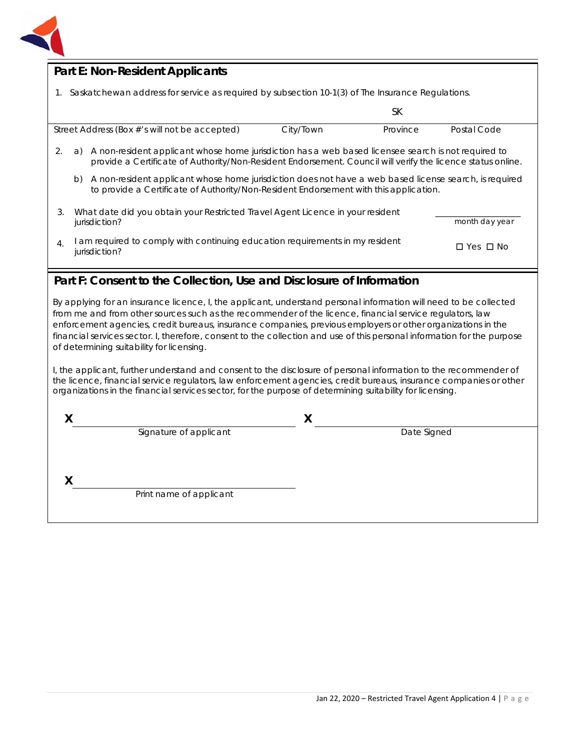

# **Part E: Non-Resident Applicants**

1. Saskatchewan address for service as required by subsection 10-1(3) of *The Insurance Regulations.*

|              |                                                                                                                                                                                                                          |                                               |           | SК       |             |
|--------------|--------------------------------------------------------------------------------------------------------------------------------------------------------------------------------------------------------------------------|-----------------------------------------------|-----------|----------|-------------|
|              |                                                                                                                                                                                                                          | Street Address (Box #'s will not be accepted) | City/Town | Province | Postal Code |
| 2.           | A non-resident applicant whose home jurisdiction has a web based licensee search is not required to<br>a)<br>provide a Certificate of Authority/Non-Resident Endorsement. Council will verify the licence status online. |                                               |           |          |             |
|              | A non-resident applicant whose home jurisdiction does not have a web based license search, is required<br>b)<br>to provide a Certificate of Authority/Non-Resident Endorsement with this application.                    |                                               |           |          |             |
| 3.           | What date did you obtain your Restricted Travel Agent Licence in your resident<br>month day year<br>jurisdiction?                                                                                                        |                                               |           |          |             |
| $\mathbf{4}$ | am required to comply with continuing education requirements in my resident<br>□ Yes □ No<br>jurisdiction?                                                                                                               |                                               |           |          |             |

### **Part F: Consent to the Collection, Use and Disclosure of Information**

By applying for an insurance licence, I, the applicant, understand personal information will need to be collected from me and from other sources such as the recommender of the licence, financial service regulators, law enforcement agencies, credit bureaus, insurance companies, previous employers or other organizations in the financial services sector. I, therefore, consent to the collection and use of this personal information for the purpose of determining suitability for licensing.

I, the applicant, further understand and consent to the disclosure of personal information to the recommender of the licence, financial service regulators, law enforcement agencies, credit bureaus, insurance companies or other organizations in the financial services sector, for the purpose of determining suitability for licensing.

| Signature of applicant  | Date Signed |  |
|-------------------------|-------------|--|
|                         |             |  |
|                         |             |  |
| Print name of applicant |             |  |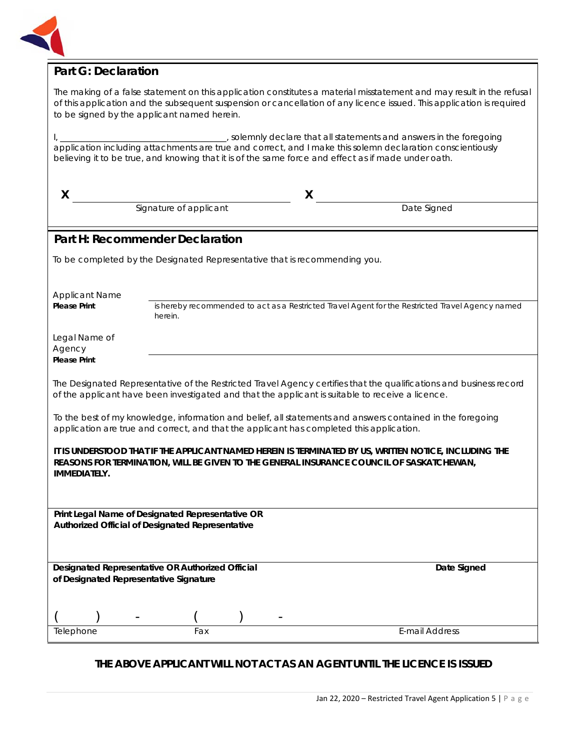

## **Part G: Declaration**

The making of a false statement on this application constitutes a material misstatement and may result in the refusal of this application and the subsequent suspension or cancellation of any licence issued. This application is required to be signed by the applicant named herein.

I, \_\_\_\_\_\_\_\_\_\_\_\_\_\_\_\_\_\_\_\_\_\_\_\_\_\_\_\_\_\_\_\_\_\_\_\_\_\_\_, solemnly declare that all statements and answers in the foregoing application including attachments are true and correct, and I make this solemn declaration conscientiously believing it to be true, and knowing that it is of the same force and effect as if made under oath.

| X                                                                                                         |                        | X                                                                                                                                                                                                                       |  |  |
|-----------------------------------------------------------------------------------------------------------|------------------------|-------------------------------------------------------------------------------------------------------------------------------------------------------------------------------------------------------------------------|--|--|
|                                                                                                           | Signature of applicant | Date Signed                                                                                                                                                                                                             |  |  |
| Part H: Recommender Declaration                                                                           |                        |                                                                                                                                                                                                                         |  |  |
| To be completed by the Designated Representative that is recommending you.                                |                        |                                                                                                                                                                                                                         |  |  |
|                                                                                                           |                        |                                                                                                                                                                                                                         |  |  |
| <b>Applicant Name</b><br><b>Please Print</b>                                                              | herein.                | is hereby recommended to act as a Restricted Travel Agent for the Restricted Travel Agency named                                                                                                                        |  |  |
| Legal Name of<br>Agency                                                                                   |                        |                                                                                                                                                                                                                         |  |  |
| <b>Please Print</b>                                                                                       |                        |                                                                                                                                                                                                                         |  |  |
|                                                                                                           |                        | The Designated Representative of the Restricted Travel Agency certifies that the qualifications and business record<br>of the applicant have been investigated and that the applicant is suitable to receive a licence. |  |  |
|                                                                                                           |                        | To the best of my knowledge, information and belief, all statements and answers contained in the foregoing<br>application are true and correct, and that the applicant has completed this application.                  |  |  |
| <b>IMMEDIATELY.</b>                                                                                       |                        | IT IS UNDERSTOOD THAT IF THE APPLICANT NAMED HEREIN IS TERMINATED BY US, WRITTEN NOTICE, INCLUDING THE<br>REASONS FOR TERMINATION, WILL BE GIVEN TO THE GENERAL INSURANCE COUNCIL OF SASKATCHEWAN,                      |  |  |
|                                                                                                           |                        |                                                                                                                                                                                                                         |  |  |
| Print Legal Name of Designated Representative OR<br>Authorized Official of Designated Representative      |                        |                                                                                                                                                                                                                         |  |  |
|                                                                                                           |                        |                                                                                                                                                                                                                         |  |  |
| Designated Representative OR Authorized Official<br>Date Signed<br>of Designated Representative Signature |                        |                                                                                                                                                                                                                         |  |  |
|                                                                                                           |                        |                                                                                                                                                                                                                         |  |  |
| Telephone                                                                                                 | Fax                    | <b>E-mail Address</b>                                                                                                                                                                                                   |  |  |
|                                                                                                           |                        |                                                                                                                                                                                                                         |  |  |

**THE ABOVE APPLICANT WILL NOT ACT AS AN AGENT UNTIL THE LICENCE IS ISSUED**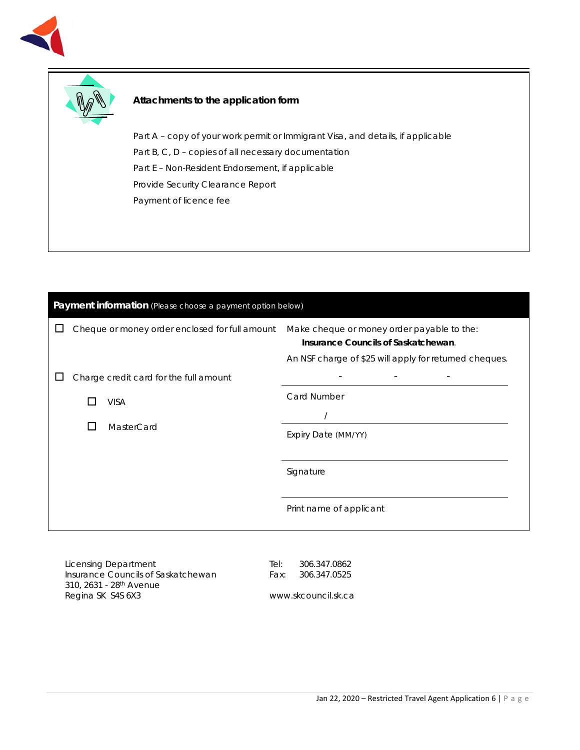



#### **Attachments to the application form**

Part A – copy of your work permit or Immigrant Visa, and details, if applicable Part B, C, D – copies of all necessary documentation Part E – Non-Resident Endorsement, if applicable Provide Security Clearance Report Payment of licence fee

| Payment information (Please choose a payment option below) |              |                                                |                                                                                                                                             |  |
|------------------------------------------------------------|--------------|------------------------------------------------|---------------------------------------------------------------------------------------------------------------------------------------------|--|
|                                                            |              | Cheque or money order enclosed for full amount | Make cheque or money order payable to the:<br>Insurance Councils of Saskatchewan.<br>An NSF charge of \$25 will apply for returned cheques. |  |
|                                                            |              | Charge credit card for the full amount         |                                                                                                                                             |  |
|                                                            |              | <b>VISA</b>                                    | Card Number                                                                                                                                 |  |
|                                                            | $\mathbf{L}$ | MasterCard                                     | Expiry Date (MM/YY)                                                                                                                         |  |
|                                                            |              |                                                | Signature                                                                                                                                   |  |
|                                                            |              |                                                | Print name of applicant                                                                                                                     |  |
|                                                            |              |                                                |                                                                                                                                             |  |

Licensing Department Insurance Councils of Saskatchewan 310, 2631 - 28th Avenue Regina SK S4S 6X3

Tel: 306.347.0862 Fax: 306.347.0525

www.skcouncil.sk.ca